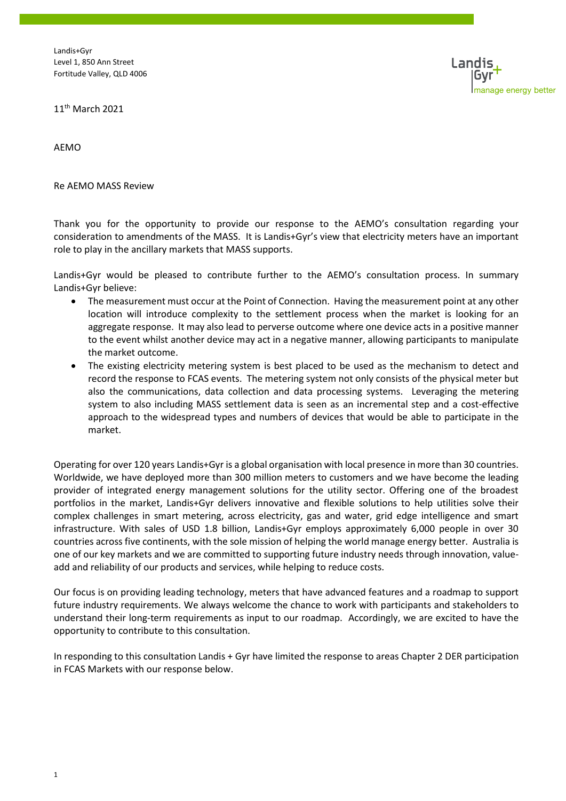

11th March 2021

AEMO

Re AEMO MASS Review

Thank you for the opportunity to provide our response to the AEMO's consultation regarding your consideration to amendments of the MASS. It is Landis+Gyr's view that electricity meters have an important role to play in the ancillary markets that MASS supports.

Landis+Gyr would be pleased to contribute further to the AEMO's consultation process. In summary Landis+Gyr believe:

- The measurement must occur at the Point of Connection. Having the measurement point at any other location will introduce complexity to the settlement process when the market is looking for an aggregate response. It may also lead to perverse outcome where one device acts in a positive manner to the event whilst another device may act in a negative manner, allowing participants to manipulate the market outcome.
- The existing electricity metering system is best placed to be used as the mechanism to detect and record the response to FCAS events. The metering system not only consists of the physical meter but also the communications, data collection and data processing systems. Leveraging the metering system to also including MASS settlement data is seen as an incremental step and a cost-effective approach to the widespread types and numbers of devices that would be able to participate in the market.

Operating for over 120 years Landis+Gyr is a global organisation with local presence in more than 30 countries. Worldwide, we have deployed more than 300 million meters to customers and we have become the leading provider of integrated energy management solutions for the utility sector. Offering one of the broadest portfolios in the market, Landis+Gyr delivers innovative and flexible solutions to help utilities solve their complex challenges in smart metering, across electricity, gas and water, grid edge intelligence and smart infrastructure. With sales of USD 1.8 billion, Landis+Gyr employs approximately 6,000 people in over 30 countries across five continents, with the sole mission of helping the world manage energy better. Australia is one of our key markets and we are committed to supporting future industry needs through innovation, valueadd and reliability of our products and services, while helping to reduce costs.

Our focus is on providing leading technology, meters that have advanced features and a roadmap to support future industry requirements. We always welcome the chance to work with participants and stakeholders to understand their long-term requirements as input to our roadmap. Accordingly, we are excited to have the opportunity to contribute to this consultation.

In responding to this consultation Landis + Gyr have limited the response to areas Chapter 2 DER participation in FCAS Markets with our response below.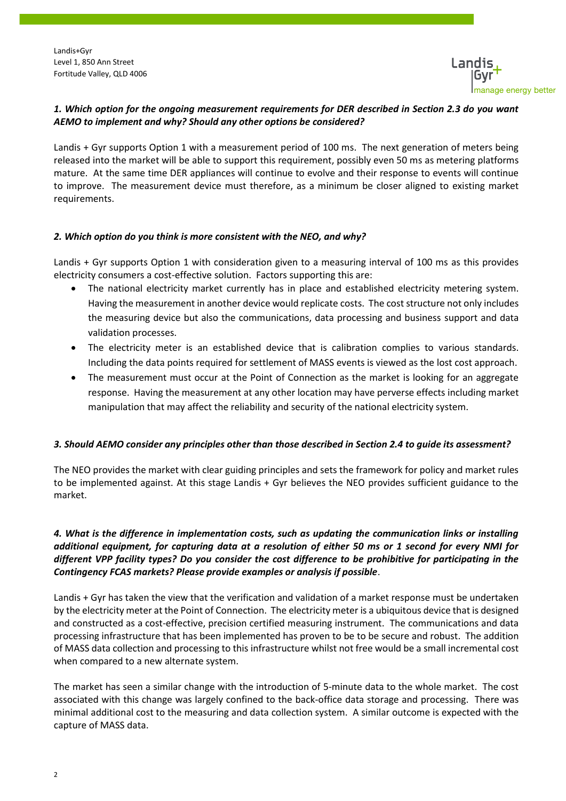

## *1. Which option for the ongoing measurement requirements for DER described in Section 2.3 do you want AEMO to implement and why? Should any other options be considered?*

Landis + Gyr supports Option 1 with a measurement period of 100 ms. The next generation of meters being released into the market will be able to support this requirement, possibly even 50 ms as metering platforms mature. At the same time DER appliances will continue to evolve and their response to events will continue to improve. The measurement device must therefore, as a minimum be closer aligned to existing market requirements.

## *2. Which option do you think is more consistent with the NEO, and why?*

Landis + Gyr supports Option 1 with consideration given to a measuring interval of 100 ms as this provides electricity consumers a cost-effective solution. Factors supporting this are:

- The national electricity market currently has in place and established electricity metering system. Having the measurement in another device would replicate costs. The cost structure not only includes the measuring device but also the communications, data processing and business support and data validation processes.
- The electricity meter is an established device that is calibration complies to various standards. Including the data points required for settlement of MASS events is viewed as the lost cost approach.
- The measurement must occur at the Point of Connection as the market is looking for an aggregate response. Having the measurement at any other location may have perverse effects including market manipulation that may affect the reliability and security of the national electricity system.

#### *3. Should AEMO consider any principles other than those described in Section 2.4 to guide its assessment?*

The NEO provides the market with clear guiding principles and sets the framework for policy and market rules to be implemented against. At this stage Landis + Gyr believes the NEO provides sufficient guidance to the market.

# *4. What is the difference in implementation costs, such as updating the communication links or installing additional equipment, for capturing data at a resolution of either 50 ms or 1 second for every NMI for different VPP facility types? Do you consider the cost difference to be prohibitive for participating in the Contingency FCAS markets? Please provide examples or analysis if possible*.

Landis + Gyr has taken the view that the verification and validation of a market response must be undertaken by the electricity meter at the Point of Connection. The electricity meter is a ubiquitous device that is designed and constructed as a cost-effective, precision certified measuring instrument. The communications and data processing infrastructure that has been implemented has proven to be to be secure and robust. The addition of MASS data collection and processing to this infrastructure whilst not free would be a small incremental cost when compared to a new alternate system.

The market has seen a similar change with the introduction of 5-minute data to the whole market. The cost associated with this change was largely confined to the back-office data storage and processing. There was minimal additional cost to the measuring and data collection system. A similar outcome is expected with the capture of MASS data.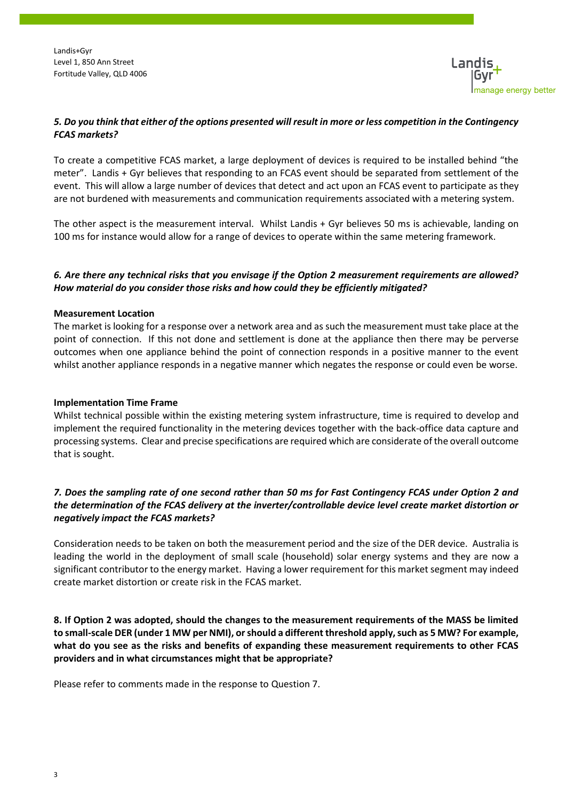

### *5. Do you think that either of the options presented will result in more or less competition in the Contingency FCAS markets?*

To create a competitive FCAS market, a large deployment of devices is required to be installed behind "the meter". Landis + Gyr believes that responding to an FCAS event should be separated from settlement of the event. This will allow a large number of devices that detect and act upon an FCAS event to participate as they are not burdened with measurements and communication requirements associated with a metering system.

The other aspect is the measurement interval. Whilst Landis + Gyr believes 50 ms is achievable, landing on 100 ms for instance would allow for a range of devices to operate within the same metering framework.

## *6. Are there any technical risks that you envisage if the Option 2 measurement requirements are allowed? How material do you consider those risks and how could they be efficiently mitigated?*

#### **Measurement Location**

The market is looking for a response over a network area and as such the measurement must take place at the point of connection. If this not done and settlement is done at the appliance then there may be perverse outcomes when one appliance behind the point of connection responds in a positive manner to the event whilst another appliance responds in a negative manner which negates the response or could even be worse.

#### **Implementation Time Frame**

Whilst technical possible within the existing metering system infrastructure, time is required to develop and implement the required functionality in the metering devices together with the back-office data capture and processing systems. Clear and precise specifications are required which are considerate of the overall outcome that is sought.

# *7. Does the sampling rate of one second rather than 50 ms for Fast Contingency FCAS under Option 2 and the determination of the FCAS delivery at the inverter/controllable device level create market distortion or negatively impact the FCAS markets?*

Consideration needs to be taken on both the measurement period and the size of the DER device. Australia is leading the world in the deployment of small scale (household) solar energy systems and they are now a significant contributor to the energy market. Having a lower requirement for this market segment may indeed create market distortion or create risk in the FCAS market.

**8. If Option 2 was adopted, should the changes to the measurement requirements of the MASS be limited to small-scale DER (under 1 MW per NMI), or should a different threshold apply, such as 5 MW? For example, what do you see as the risks and benefits of expanding these measurement requirements to other FCAS providers and in what circumstances might that be appropriate?** 

Please refer to comments made in the response to Question 7.